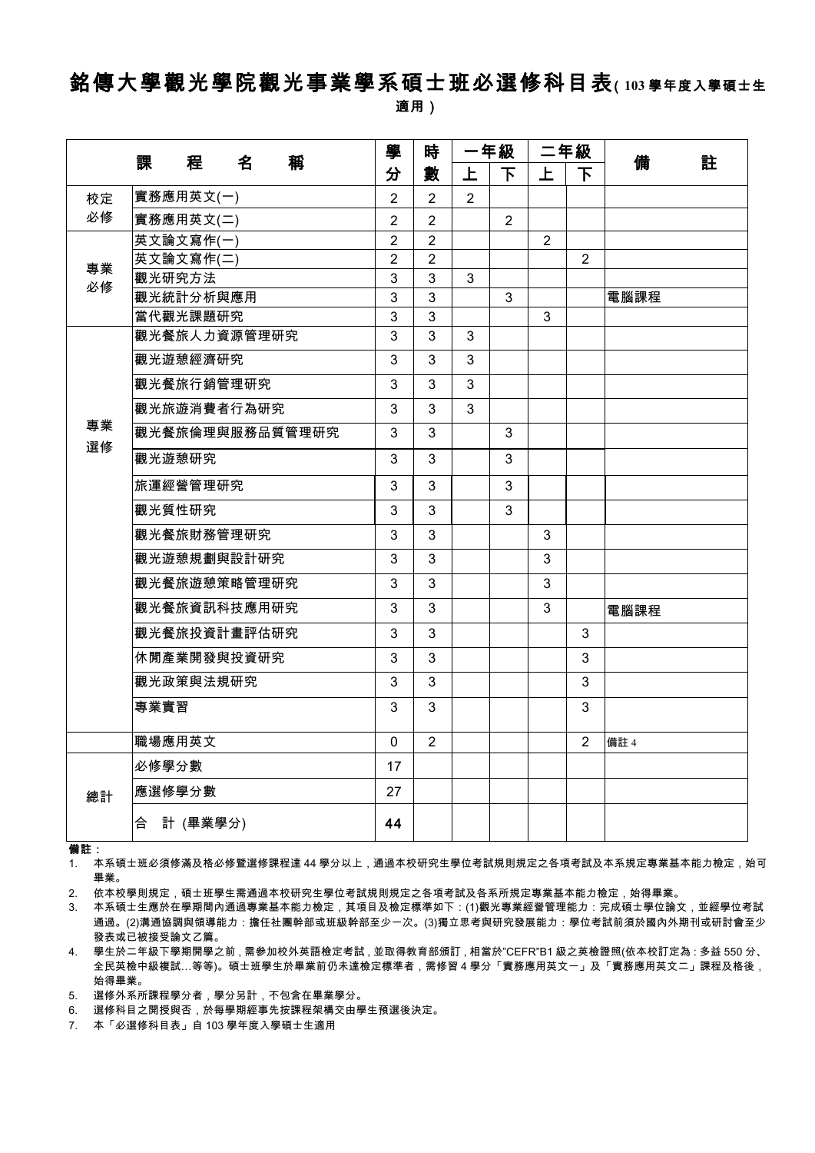# 銘傳大學觀光學院觀光事業學系碩士班必選修科目表(**<sup>103</sup>** 學年度入學碩士生

適用)

|          | 課<br>名<br>稱<br>程 |                | 時              | 一年級            |                | 二年級            |                | 備<br>註 |
|----------|------------------|----------------|----------------|----------------|----------------|----------------|----------------|--------|
|          |                  | 分              | 數              | 上              | 下              | 上              | 下              |        |
| 校定       | 實務應用英文(一)        | $\overline{2}$ | $\overline{2}$ | $\overline{2}$ |                |                |                |        |
| 必修       | 實務應用英文(二)        | $\overline{2}$ | $\overline{2}$ |                | $\overline{2}$ |                |                |        |
|          | 英文論文寫作(一)        | $\overline{2}$ | $\overline{2}$ |                |                | $\overline{2}$ |                |        |
| 專業       | 英文論文寫作(二)        | $\overline{2}$ | $\overline{2}$ |                |                |                | $\overline{2}$ |        |
| 必修       | 觀光研究方法           | 3              | 3              | 3              |                |                |                |        |
|          | 觀光統計分析與應用        | 3              | $\mathbf{3}$   |                | 3              |                |                | 電腦課程   |
|          | 當代觀光課題研究         | $\mathbf{3}$   | 3              |                |                | 3              |                |        |
|          | 觀光餐旅人力資源管理研究     | 3              | $\overline{3}$ | 3              |                |                |                |        |
|          | 觀光遊憩經濟研究         | 3              | 3              | 3              |                |                |                |        |
|          | 觀光餐旅行銷管理研究       | 3              | 3              | 3              |                |                |                |        |
|          | 觀光旅遊消費者行為研究      | 3              | 3              | 3              |                |                |                |        |
| 專業<br>選修 | 觀光餐旅倫理與服務品質管理研究  | 3              | 3              |                | 3              |                |                |        |
|          | 觀光遊憩研究           | 3              | 3              |                | 3              |                |                |        |
|          | 旅運經營管理研究         | 3              | 3              |                | 3              |                |                |        |
|          | 觀光質性研究           | 3              | 3              |                | 3              |                |                |        |
|          | 觀光餐旅財務管理研究       | 3              | 3              |                |                | 3              |                |        |
|          | 觀光遊憩規劃與設計研究      | 3              | 3              |                |                | 3              |                |        |
|          | 觀光餐旅遊憩策略管理研究     | 3              | 3              |                |                | 3              |                |        |
|          | 觀光餐旅資訊科技應用研究     | 3              | 3              |                |                | 3              |                | 電腦課程   |
|          | 觀光餐旅投資計畫評估研究     | 3              | 3              |                |                |                | 3              |        |
|          | 休閒產業開發與投資研究      | 3              | 3              |                |                |                | 3              |        |
|          | 觀光政策與法規研究        | 3              | 3              |                |                |                | 3              |        |
|          | 專業實習             | 3              | 3              |                |                |                | 3              |        |
|          | 職場應用英文           | $\Omega$       | $\overline{2}$ |                |                |                | $\overline{2}$ | 備註 4   |
| 總計       | 必修學分數            | 17             |                |                |                |                |                |        |
|          | 應選修學分數           | 27             |                |                |                |                |                |        |
|          | 合 計 (畢業學分)       | 44             |                |                |                |                |                |        |

備註:

1. 本系碩士班必須修滿及格必修暨選修課程達 44 學分以上,通過本校研究生學位考試規則規定之各項考試及本系規定專業基本能力檢定,始可 畢業。

2. 依本校學則規定,碩士班學生需通過本校研究生學位考試規則規定之各項考試及各系所規定專業基本能力檢定,始得畢業。

3. 本系碩士生應於在學期間內通過專業基本能力檢定,其項目及檢定標準如下:(1)觀光專業經營管理能力:完成碩士學位論文,並經學位考試 通過。(2)溝通協調與領導能力:擔任社團幹部或班級幹部至少一次。(3)獨立思考與研究發展能力:學位考試前須於國內外期刊或研討會至少 發表或已被接受論文乙篇。

4. 學生於二年級下學期開學之前,需參加校外英語檢定考試,並取得教育部頒訂,相當於"CEFR"B1 級之英檢證照(依本校訂定為:多益 550 分、 全民英檢中級複試…等等)。碩士班學生於畢業前仍未達檢定標準者,需修習 4 學分「實務應用英文一」及「實務應用英文二」課程及格後, 始得畢業。

5. 選修外系所課程學分者,學分另計,不包含在畢業學分。

6. 選修科目之開授與否,於每學期經事先按課程架構交由學生預選後決定。

7. 本「必選修科目表」自 103 學年度入學碩士生適用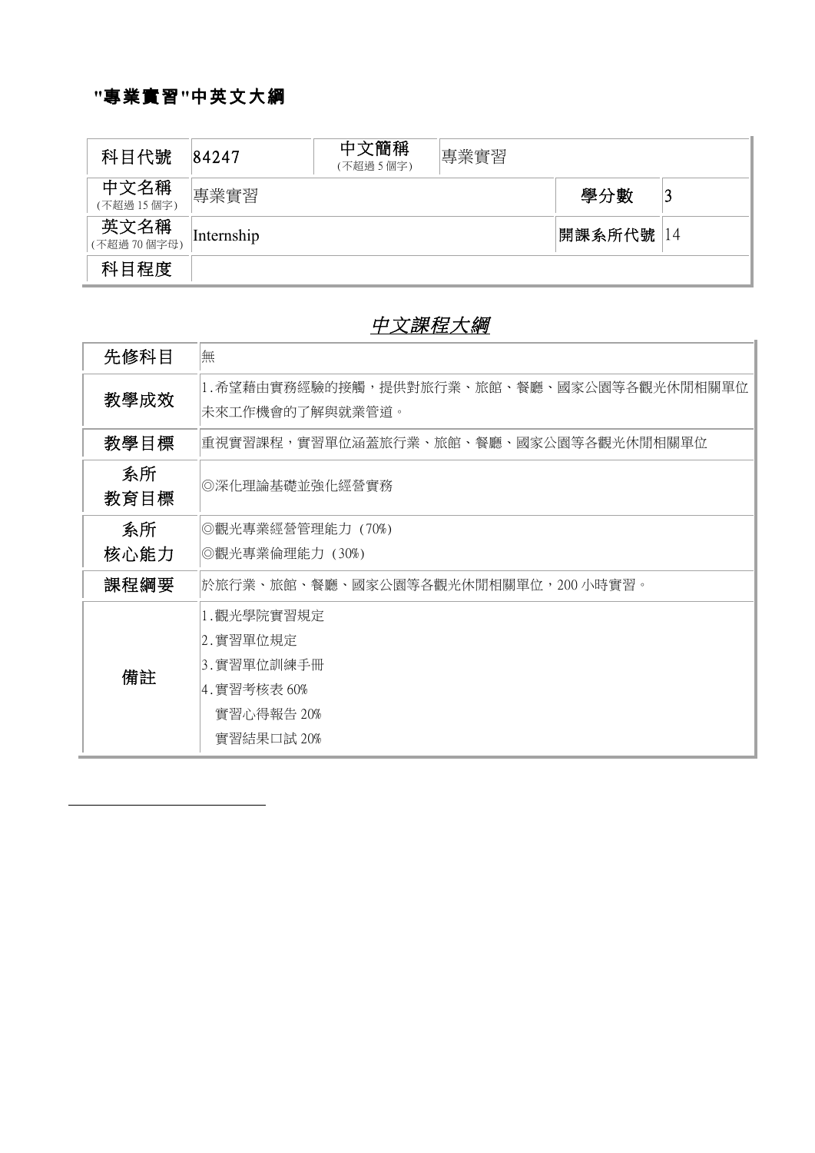### **"**專業實習**"**中英文大綱

| 科目代號               | 84247      | 中文簡稱<br>(不超過5個字) | 專業實習 |            |  |
|--------------------|------------|------------------|------|------------|--|
| 中文名稱<br>(不超過15個字)  | 專業實習       |                  |      | 學分數        |  |
| 英文名稱<br>(不超過70個字母) | Internship |                  |      | 開課系所代號  14 |  |
| 科目程度               |            |                  |      |            |  |

#### 中文課程大綱

| 先修科目       | 無                                                            |  |  |
|------------|--------------------------------------------------------------|--|--|
| 教學成效       | 1.希望藉由實務經驗的接觸,提供對旅行業、旅館、餐廳、國家公園等各觀光休閒相關單位<br>未來工作機會的了解與就業管道。 |  |  |
| 教學目標       | 重視實習課程,實習單位涵蓋旅行業、旅館、餐廳、國家公園等各觀光休閒相關單位                        |  |  |
|            |                                                              |  |  |
| 系所<br>教育目標 | ◎深化理論基礎並強化經營實務                                               |  |  |
| 系所         | ◎觀光專業經營管理能力 (70%)                                            |  |  |
| 核心能力       | ◎觀光專業倫理能力 (30%)                                              |  |  |
| 課程綱要       | 於旅行業、旅館、餐廳、國家公園等各觀光休閒相關單位,200 小時實習。                          |  |  |
|            | 1.觀光學院實習規定                                                   |  |  |
|            | 2.實習單位規定                                                     |  |  |
|            | 3.實習單位訓練手冊                                                   |  |  |
| 備註         | 4.實習考核表 60%                                                  |  |  |
|            | 實習心得報告 20%                                                   |  |  |
|            | 實習結果口試 20%                                                   |  |  |